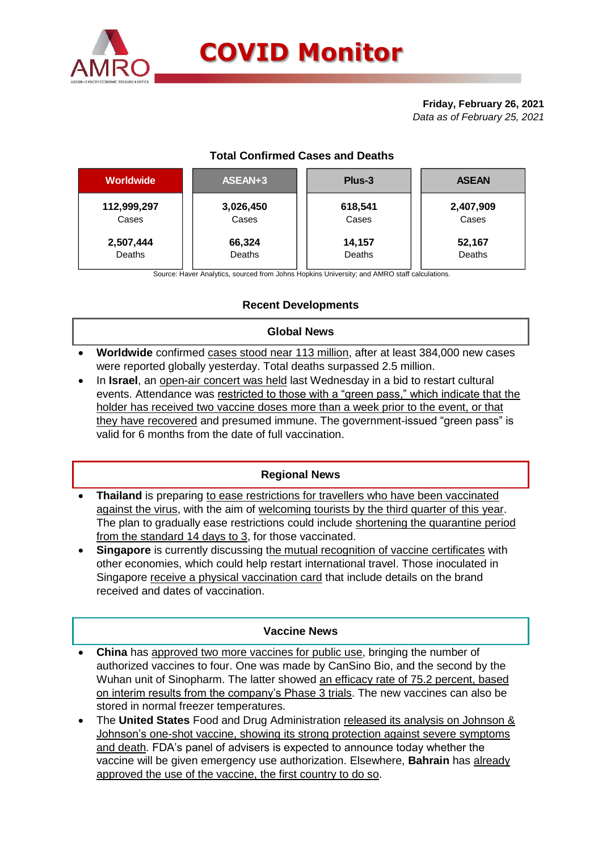

### **Friday, February 26, 2021** *Data as of February 25, 2021*

# **Total Confirmed Cases and Deaths**

| <b>Worldwide</b> | ASEAN+3   | Plus-3  | <b>ASEAN</b> |
|------------------|-----------|---------|--------------|
| 112,999,297      | 3,026,450 | 618,541 | 2,407,909    |
| Cases            | Cases     | Cases   | Cases        |
| 2,507,444        | 66,324    | 14,157  | 52,167       |
| Deaths           | Deaths    | Deaths  | Deaths       |
|                  |           |         |              |

Source: Haver Analytics, sourced from Johns Hopkins University; and AMRO staff calculations.

# **Recent Developments**

## **Global News**

- **Worldwide** confirmed cases stood near 113 million, after at least 384,000 new cases were reported globally yesterday. Total deaths surpassed 2.5 million.
- In **Israel**, an open-air concert was held last Wednesday in a bid to restart cultural events. Attendance was restricted to those with a "green pass," which indicate that the holder has received two vaccine doses more than a week prior to the event, or that they have recovered and presumed immune. The government-issued "green pass" is valid for 6 months from the date of full vaccination.

#### **Regional News**

- **Thailand** is preparing to ease restrictions for travellers who have been vaccinated against the virus, with the aim of welcoming tourists by the third quarter of this year. The plan to gradually ease restrictions could include shortening the quarantine period from the standard 14 days to 3, for those vaccinated.
- **Singapore** is currently discussing the mutual recognition of vaccine certificates with other economies, which could help restart international travel. Those inoculated in Singapore receive a physical vaccination card that include details on the brand received and dates of vaccination.

#### **Vaccine News**

- **China** has approved two more vaccines for public use, bringing the number of authorized vaccines to four. One was made by CanSino Bio, and the second by the Wuhan unit of Sinopharm. The latter showed an efficacy rate of 75.2 percent, based on interim results from the company's Phase 3 trials. The new vaccines can also be stored in normal freezer temperatures.
- The **United States** Food and Drug Administration released its analysis on Johnson & Johnson's one-shot vaccine, showing its strong protection against severe symptoms and death. FDA's panel of advisers is expected to announce today whether the vaccine will be given emergency use authorization. Elsewhere, **Bahrain** has already approved the use of the vaccine, the first country to do so.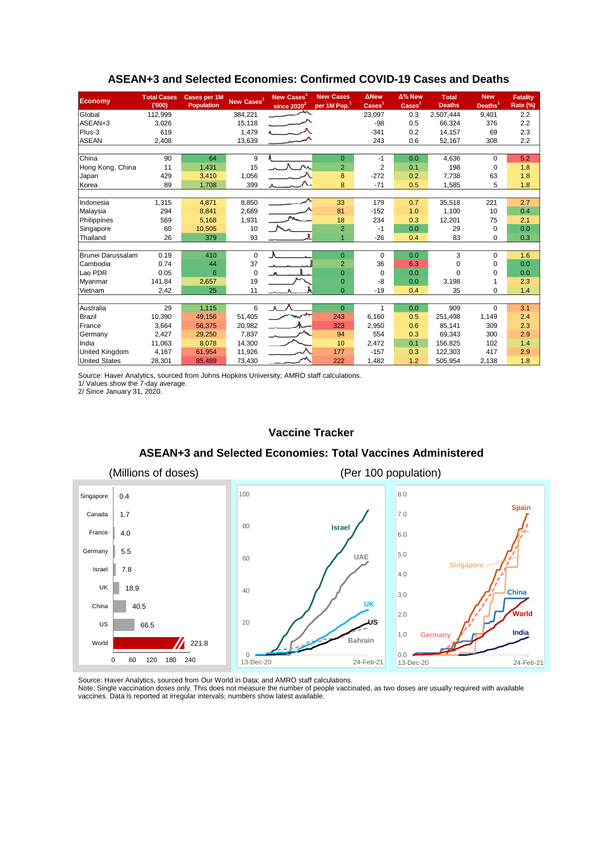| <b>Economy</b>        | <b>Total Cases</b><br>(000) | <b>Cases per 1M</b><br><b>Population</b> | New Cases <sup>1</sup> | New Cases<br>since 2020 <sup>2</sup> | <b>New Cases</b><br>per 1M Pop. <sup>1</sup> | <b>ANew</b><br>$\text{Case}$ | $\Delta$ % New<br>Cases <sup>1</sup> | <b>T</b> otal<br><b>Deaths</b> | <b>New</b><br>Deaths <sup>1</sup> | <b>Fatality</b><br>Rate (%) |
|-----------------------|-----------------------------|------------------------------------------|------------------------|--------------------------------------|----------------------------------------------|------------------------------|--------------------------------------|--------------------------------|-----------------------------------|-----------------------------|
| Global                | 112,999                     |                                          | 384,221                |                                      |                                              | 23,097                       | 0.3                                  | 2,507,444                      | 9,401                             | 2.2                         |
| ASEAN+3               | 3,026                       |                                          | 15,118                 |                                      |                                              | $-98$                        | 0.5                                  | 66.324                         | 376                               | 2.2                         |
| Plus-3                | 619                         |                                          | 1,479                  |                                      |                                              | $-341$                       | 0.2                                  | 14,157                         | 69                                | 2.3                         |
| <b>ASEAN</b>          | 2,408                       |                                          | 13,639                 |                                      |                                              | 243                          | 0.6                                  | 52,167                         | 308                               | 2.2                         |
|                       |                             |                                          |                        |                                      |                                              |                              |                                      |                                |                                   |                             |
| China                 | 90                          | 64                                       | 9                      |                                      | $\overline{0}$                               | $-1$                         | 0.0                                  | 4,636                          | $\Omega$                          | 5.2                         |
| Hong Kong, China      | 11                          | 1,431                                    | 15                     |                                      | $\overline{2}$                               | $\overline{2}$               | 0.1                                  | 198                            | $\mathbf 0$                       | 1.8                         |
| Japan                 | 429                         | 3,410                                    | 1,056                  |                                      | 8                                            | $-272$                       | 0.2                                  | 7,738                          | 63                                | 1.8                         |
| Korea                 | 89                          | 1,708                                    | 399                    |                                      | 8                                            | $-71$                        | 0.5                                  | 1,585                          | 5                                 | 1.8                         |
|                       |                             |                                          |                        |                                      |                                              |                              |                                      |                                |                                   |                             |
| Indonesia             | 1,315                       | 4,871                                    | 8,850                  |                                      | 33                                           | 179                          | 0.7                                  | 35,518                         | 221                               | 2.7                         |
| Malaysia              | 294                         | 8,841                                    | 2,689                  |                                      | 81                                           | $-152$                       | 1.0                                  | 1,100                          | 10                                | 0.4                         |
| Philippines           | 569                         | 5,168                                    | 1,931                  |                                      | 18                                           | 234                          | 0.3                                  | 12,201                         | 75                                | 2.1                         |
| Singapore             | 60                          | 10,505                                   | 10                     |                                      | $\overline{2}$                               | $-1$                         | 0.0                                  | 29                             | $\Omega$                          | 0.0                         |
| Thailand              | 26                          | 379                                      | 93                     |                                      |                                              | $-26$                        | 0.4                                  | 83                             | 0                                 | 0.3                         |
|                       |                             |                                          |                        |                                      |                                              |                              |                                      |                                |                                   |                             |
| Brunei Darussalam     | 0.19                        | 410                                      | $\mathbf 0$            | $\Lambda$                            | $\overline{0}$                               | $\mathbf 0$                  | 0.0                                  | 3                              | $\Omega$                          | 1.6                         |
| Cambodia              | 0.74                        | 44                                       | 37                     |                                      | $\overline{2}$                               | 36                           | 6.3                                  | 0                              | 0                                 | 0.0                         |
| Lao PDR               | 0.05                        | 6                                        | 0                      |                                      | $\Omega$                                     | $\Omega$                     | 0.0                                  | $\Omega$                       | $\Omega$                          | 0.0                         |
| Myanmar               | 141.84                      | 2,657                                    | 19                     |                                      | $\overline{0}$                               | -8                           | 0.0                                  | 3,198                          |                                   | 2.3                         |
| Vietnam               | 2.42                        | 25                                       | 11                     |                                      | $\Omega$                                     | $-19$                        | 0.4                                  | 35                             | 0                                 | 1.4                         |
|                       |                             |                                          |                        |                                      |                                              | $\mathbf{1}$                 |                                      |                                |                                   |                             |
| Australia             | 29                          | 1,115                                    | 6                      | $\Lambda$                            | $\overline{0}$                               |                              | 0.0                                  | 909                            | $\Omega$                          | 3.1                         |
| Brazil                | 10,390                      | 49,156                                   | 51,405                 |                                      | 243                                          | 6,160                        | 0.5                                  | 251,498                        | 1,149                             | 2.4                         |
| France                | 3,664                       | 56,375                                   | 20,982                 |                                      | 323                                          | 2,950                        | 0.6                                  | 85.141                         | 309                               | 2.3                         |
| Germany               | 2,427                       | 29,250                                   | 7,837                  |                                      | 94                                           | 554                          | 0.3                                  | 69,343                         | 300                               | 2.9                         |
| India                 | 11,063                      | 8,078                                    | 14,300                 |                                      | 10                                           | 2,472                        | 0.1                                  | 156,825                        | 102                               | 1.4                         |
| <b>United Kingdom</b> | 4,167                       | 61,954                                   | 11,926                 |                                      | 177                                          | $-157$                       | 0.3                                  | 122,303                        | 417                               | 2.9                         |
| <b>United States</b>  | 28,301                      | 85,489                                   | 73,430                 |                                      | 222                                          | 1,482                        | 1.2                                  | 505,954                        | 2,138                             | 1.8                         |

### **ASEAN+3 and Selected Economies: Confirmed COVID-19 Cases and Deaths**

Source: Haver Analytics, sourced from Johns Hopkins University; AMRO staff calculations.

1/ Values show the 7-day average.

2/ Since January 31, 2020.

#### **Vaccine Tracker**

#### **ASEAN+3 and Selected Economies: Total Vaccines Administered**



Source: Haver Analytics, sourced from Our World in Data; and AMRO staff calculations.

Note: Single vaccination doses only. This does not measure the number of people vaccinated, as two doses are usually required with available vaccines. Data is reported at irregular intervals; numbers show latest available.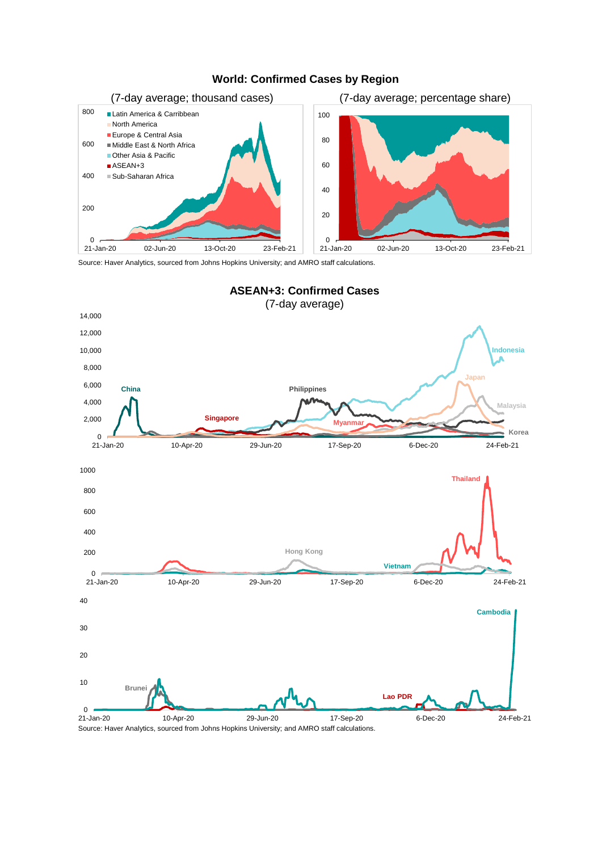

# **World: Confirmed Cases by Region**

Source: Haver Analytics, sourced from Johns Hopkins University; and AMRO staff calculations.



Source: Haver Analytics, sourced from Johns Hopkins University; and AMRO staff calculations.